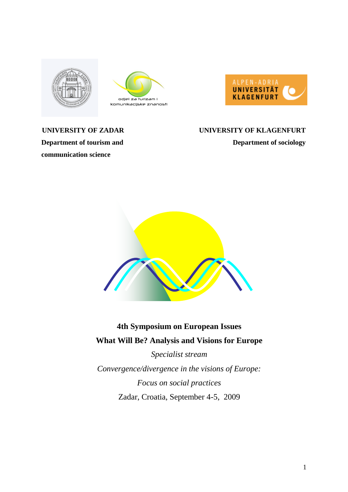





# **communication science**

# **UNIVERSITY OF ZADAR UNIVERSITY OF KLAGENFURT Department of tourism and Department of sociology**



# **4th Symposium on European Issues What Will Be? Analysis and Visions for Europe**

*Specialist stream Convergence/divergence in the visions of Europe: Focus on social practices*  Zadar, Croatia, September 4-5, 2009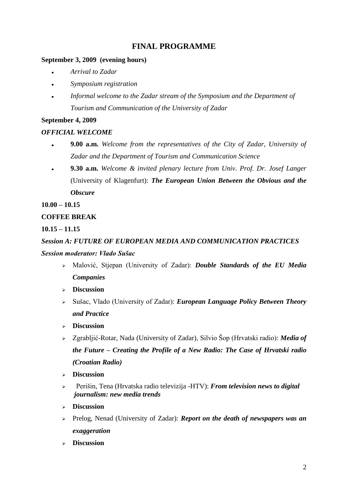# **FINAL PROGRAMME**

## **September 3, 2009 (evening hours)**

- *Arrival to Zadar*
- *Symposium registration*   $\bullet$
- *Informal welcome to the Zadar stream of the Symposium and the Department of Tourism and Communication of the University of Zadar*

## **September 4, 2009**

# *OFFICIAL WELCOME*

- **9.00 a.m.** *Welcome from the representatives of the City of Zadar, University of*   $\ddot{\phantom{0}}$ *Zadar and the Department of Tourism and Communication Science*
- $\bullet$ **9.30 a.m.** *Welcome & invited plenary lecture from Univ. Prof. Dr. Josef Langer*  (University of Klagenfurt): *The European Union Between the Obvious and the Obscure*

**10.00 – 10.15** 

# **COFFEE BREAK**

**10.15 – 11.15**

*Session A: FUTURE OF EUROPEAN MEDIA AND COMMUNICATION PRACTICES*

## *Session moderator: Vlado Sušac*

- Malović, Stjepan (University of Zadar): *Double Standards of the EU Media Companies*
- **Discussion**
- Sušac, Vlado (University of Zadar): *European Language Policy Between Theory and Practice*
- **Discussion**
- Zgrabljić-Rotar, Nada (University of Zadar), Silvio Šop (Hrvatski radio): *Media of the Future – Creating the Profile of a New Radio: The Case of Hrvatski radio (Croatian Radio)*
- **Discussion**
- Perišin, Tena (Hrvatska radio televizija -HTV): *From television news to digital journalism: new media trends*
- **Discussion**
- Prelog, Nenad (University of Zadar): *Report on the death of newspapers was an exaggeration*
- **Discussion**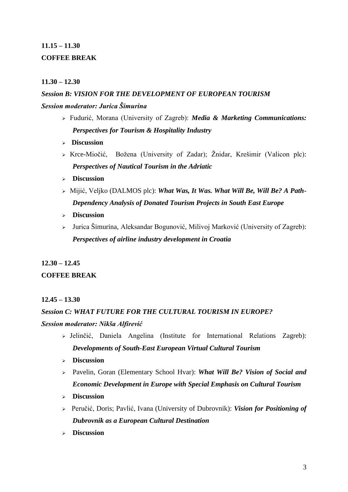# **11.15 – 11.30 COFFEE BREAK**

# **11.30 – 12.30**

# *Session B: VISION FOR THE DEVELOPMENT OF EUROPEAN TOURISM Session moderator: Jurica Šimurina*

- Fudurić, Morana (University of Zagreb): *Media & Marketing Communications: Perspectives for Tourism & Hospitality Industry*
- **Discussion**
- $\triangleright$  Krce-Miočić, Božena (University of Zadar); Žnidar, Krešimir (Valicon plc): *Perspectives of Nautical Tourism in the Adriatic*
- **Discussion**
- Mijić, Veljko (DALMOS plc): *What Was, It Was. What Will Be, Will Be? A Path-Dependency Analysis of Donated Tourism Projects in South East Europe*
- **Discussion**
- $\triangleright$  Jurica Šimurina, Aleksandar Bogunović, Milivoj Marković (University of Zagreb): *Perspectives of airline industry development in Croatia*

# **12.30 – 12.45**

# **COFFEE BREAK**

## **12.45 – 13.30**

# *Session C: WHAT FUTURE FOR THE CULTURAL TOURISM IN EUROPE?*

## *Session moderator: Nikša Alfirević*

- $\triangleright$  Jelinčić, Daniela Angelina (Institute for International Relations Zagreb): *Developments of South-East European Virtual Cultural Tourism*
- **Discussion**
- Pavelin, Goran (Elementary School Hvar): *What Will Be? Vision of Social and Economic Development in Europe with Special Emphasis on Cultural Tourism*
- **Discussion**
- Peručić, Doris; Pavlić, Ivana (University of Dubrovnik): *Vision for Positioning of Dubrovnik as a European Cultural Destination*
- **Discussion**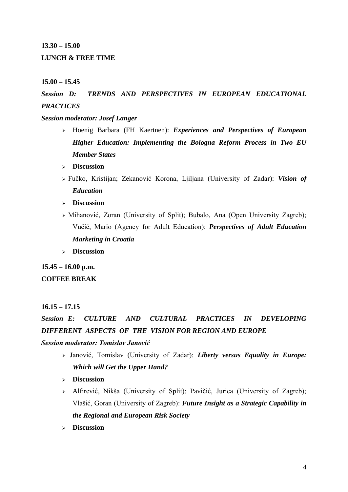#### **13.30 – 15.00**

### **LUNCH & FREE TIME**

#### **15.00 – 15.45**

# *Session D: TRENDS AND PERSPECTIVES IN EUROPEAN EDUCATIONAL PRACTICES*

*Session moderator: Josef Langer* 

- Hoenig Barbara (FH Kaertnen): *Experiences and Perspectives of European Higher Education: Implementing the Bologna Reform Process in Two EU Member States*
- **Discussion**
- Fučko, Kristijan; Zekanović Korona, Ljiljana (University of Zadar): *Vision of Education*
- **Discussion**
- $\triangleright$  Mihanović, Zoran (University of Split); Bubalo, Ana (Open University Zagreb); Vučić, Mario (Agency for Adult Education): *Perspectives of Adult Education Marketing in Croatia*
- **Discussion**

**15.45 – 16.00 p.m.** 

#### **COFFEE BREAK**

#### **16.15 – 17.15**

*Session E: CULTURE AND CULTURAL PRACTICES IN DEVELOPING DIFFERENT ASPECTS OF THE VISION FOR REGION AND EUROPE Session moderator: Tomislav Janović* 

- Janović, Tomislav (University of Zadar): *Liberty versus Equality in Europe: Which will Get the Upper Hand?*
- **Discussion**
- Alfirević, Nikša (University of Split); Pavičić, Jurica (University of Zagreb); Vlašić, Goran (University of Zagreb): *Future Insight as a Strategic Capability in the Regional and European Risk Society*
- **Discussion**